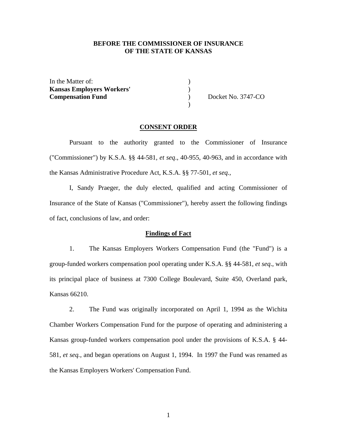## **BEFORE THE COMMISSIONER OF INSURANCE OF THE STATE OF KANSAS**

In the Matter of:  $\qquad \qquad$  ) **Kansas Employers Workers'** ) **Compensation Fund** Docket No. 3747-CO

 $)$ 

### **CONSENT ORDER**

 Pursuant to the authority granted to the Commissioner of Insurance ("Commissioner") by K.S.A. §§ 44-581*, et seq*., 40-955, 40-963, and in accordance with the Kansas Administrative Procedure Act, K.S.A. §§ 77-501, *et seq.,* 

I, Sandy Praeger, the duly elected, qualified and acting Commissioner of Insurance of the State of Kansas ("Commissioner"), hereby assert the following findings of fact, conclusions of law, and order:

### **Findings of Fact**

 1. The Kansas Employers Workers Compensation Fund (the "Fund") is a group-funded workers compensation pool operating under K.S.A. §§ 44-581, *et seq*., with its principal place of business at 7300 College Boulevard, Suite 450, Overland park, Kansas 66210.

 2. The Fund was originally incorporated on April 1, 1994 as the Wichita Chamber Workers Compensation Fund for the purpose of operating and administering a Kansas group-funded workers compensation pool under the provisions of K.S.A. § 44- 581, *et seq.,* and began operations on August 1, 1994. In 1997 the Fund was renamed as the Kansas Employers Workers' Compensation Fund.

1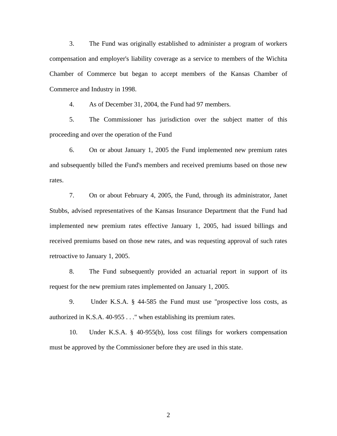3. The Fund was originally established to administer a program of workers compensation and employer's liability coverage as a service to members of the Wichita Chamber of Commerce but began to accept members of the Kansas Chamber of Commerce and Industry in 1998.

4. As of December 31, 2004, the Fund had 97 members.

 5. The Commissioner has jurisdiction over the subject matter of this proceeding and over the operation of the Fund

 6. On or about January 1, 2005 the Fund implemented new premium rates and subsequently billed the Fund's members and received premiums based on those new rates.

 7. On or about February 4, 2005, the Fund, through its administrator, Janet Stubbs, advised representatives of the Kansas Insurance Department that the Fund had implemented new premium rates effective January 1, 2005, had issued billings and received premiums based on those new rates, and was requesting approval of such rates retroactive to January 1, 2005.

 8. The Fund subsequently provided an actuarial report in support of its request for the new premium rates implemented on January 1, 2005.

 9. Under K.S.A. § 44-585 the Fund must use "prospective loss costs, as authorized in K.S.A. 40-955 . . ." when establishing its premium rates.

 10. Under K.S.A. § 40-955(b), loss cost filings for workers compensation must be approved by the Commissioner before they are used in this state.

2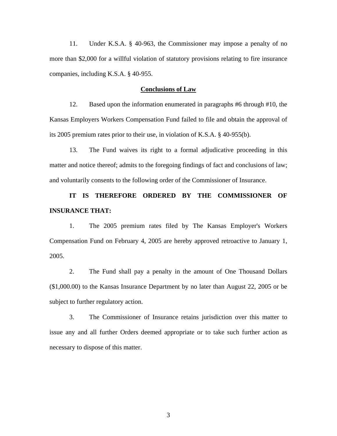11. Under K.S.A. § 40-963, the Commissioner may impose a penalty of no more than \$2,000 for a willful violation of statutory provisions relating to fire insurance companies, including K.S.A. § 40-955.

### **Conclusions of Law**

 12. Based upon the information enumerated in paragraphs #6 through #10, the Kansas Employers Workers Compensation Fund failed to file and obtain the approval of its 2005 premium rates prior to their use, in violation of K.S.A. § 40-955(b).

 13. The Fund waives its right to a formal adjudicative proceeding in this matter and notice thereof; admits to the foregoing findings of fact and conclusions of law; and voluntarily consents to the following order of the Commissioner of Insurance.

# **IT IS THEREFORE ORDERED BY THE COMMISSIONER OF INSURANCE THAT:**

 1. The 2005 premium rates filed by The Kansas Employer's Workers Compensation Fund on February 4, 2005 are hereby approved retroactive to January 1, 2005.

 2. The Fund shall pay a penalty in the amount of One Thousand Dollars (\$1,000.00) to the Kansas Insurance Department by no later than August 22, 2005 or be subject to further regulatory action.

 3. The Commissioner of Insurance retains jurisdiction over this matter to issue any and all further Orders deemed appropriate or to take such further action as necessary to dispose of this matter.

3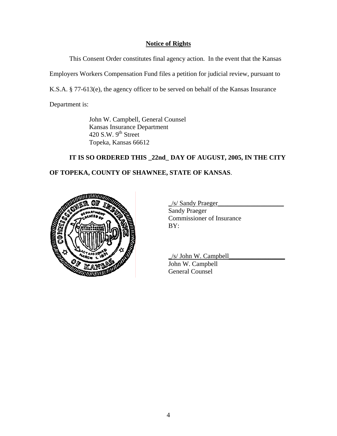## **Notice of Rights**

This Consent Order constitutes final agency action. In the event that the Kansas

Employers Workers Compensation Fund files a petition for judicial review, pursuant to

K.S.A. § 77-613(e), the agency officer to be served on behalf of the Kansas Insurance

Department is:

 John W. Campbell, General Counsel Kansas Insurance Department 420 S.W.  $9<sup>th</sup>$  Street Topeka, Kansas 66612

# **IT IS SO ORDERED THIS \_22nd\_ DAY OF AUGUST, 2005, IN THE CITY**

# **OF TOPEKA, COUNTY OF SHAWNEE, STATE OF KANSAS**.



\_/s/ Sandy Praeger\_\_\_\_\_\_\_\_\_\_\_\_\_\_\_\_\_\_\_\_

 Sandy Praeger Commissioner of Insurance

 $\frac{1}{s}$  John W. Campbell

 John W. Campbell General Counsel